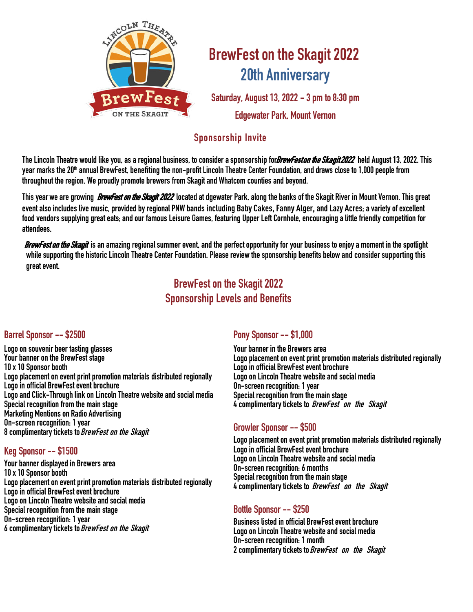

# **BrewFest on the Skagit 2022 20th Anniversary**

**Saturday, August 13, 2022 - 3 pm to 8:30 pm Edgewater Park, Mount Vernon** 

### **Sponsorship Invite**

**TheLincoln Theatre would like you, as a regionalbusiness, to consider asponsorshipfor**BrewFest on the Skagit 2022 **held August 13, 2022. This year marks the20th annual BrewFest, benefitingthenon-profitLincolnTheatre Center Foundation, anddraws close to1,000 peoplefrom throughout the region. We proudly promote brewers from Skagit and Whatcom counties and beyond.** 

**This year we are growing** BrewFest on the Skagit 2022 **located at dgewater Park, along thebanks of the Skagit River in Mount Vernon. This great event also includes live music, providedby regional PNW bands including Baby Cakes, Fanny Alger, and Lazy Acres; a variety of excellent food vendors supplyinggreat eats; andour famous Leisure Games, featuring Upper Left Cornhole, encouraginga little friendlycompetition for attendees.** 

BrewFest on the Skagit **is an amazingregional summer event, and the perfect opportunity for your business to enjoya moment in the spotlight**  while supporting the historic Lincoln Theatre Center Foundation. Please review the sponsorship benefits below and consider supporting this **great event.** 

## **BrewFest on the Skagit 2022 SponsorshipLevels and Benefits**

#### **Barrel Sponsor--\$2500**

**Logo on souvenir beer tasting glasses Your banner on the BrewFest stage 10 x 10 Sponsor booth Logo placement on event print promotion materials distributed regionally Logo in official BrewFest event brochure**  Logo and Click-Through link on Lincoln Theatre website and social media **Special recognition from the mainstage Marketing Mentions on Radio Advertising On-screen recognition: 1 year 8 complimentary tickets to BrewFest on the Skagit**

#### **Keg Sponsor--\$1500**

**Your banner displayed in Brewers area 10 x 10 Sponsor booth Logo placement on event print promotion materials distributed regionally Logo in official BrewFest event brochure Logo on Lincoln Theatre website and social media Special recognition from the mainstage On-screen recognition: 1 year 6 complimentary tickets to BrewFest on the Skagit**

#### **Pony Sponsor--\$1,000**

**Your banner in the Brewers area Logo placement on event print promotion materials distributed regionally Logo in official BrewFest event brochure Logo on Lincoln Theatre website and social media On-screen recognition: 1 year Special recognition from the mainstage 4 complimentary tickets to BrewFest on the Skagit**

#### **Growler Sponsor--\$500**

**Logo placement on event print promotion materials distributed regionally Logo in official BrewFest event brochure Logo on Lincoln Theatre website andsocial media On-screen recognition: 6 months Special recognition from the mainstage 4 complimentary tickets to BrewFest on the Skagit** 

### **Bottle Sponsor-- \$250**

**Business listed in official BrewFest event brochure**  Logo on Lincoln Theatre website and social media<br>On-screen recognition: 1 month **2 complimentary tickets to BrewFest on the Skagit**